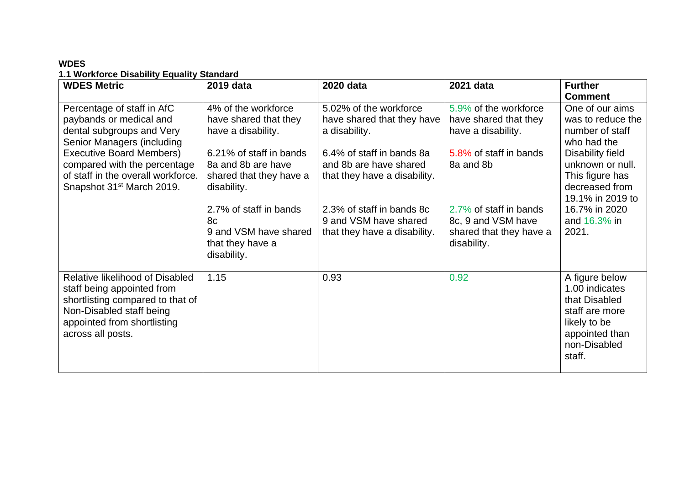## **WDES 1.1 Workforce Disability Equality Standard**

| <b>WDES Metric</b>                                                                                                                                                                                                                                                 | 2019 data                                                                                                                                                                                                                                                 | 2020 data                                                                                                                                                                                                                                          | 2021 data                                                                                                                                                                                             | <b>Further</b><br><b>Comment</b>                                                                                                                                                                                  |
|--------------------------------------------------------------------------------------------------------------------------------------------------------------------------------------------------------------------------------------------------------------------|-----------------------------------------------------------------------------------------------------------------------------------------------------------------------------------------------------------------------------------------------------------|----------------------------------------------------------------------------------------------------------------------------------------------------------------------------------------------------------------------------------------------------|-------------------------------------------------------------------------------------------------------------------------------------------------------------------------------------------------------|-------------------------------------------------------------------------------------------------------------------------------------------------------------------------------------------------------------------|
| Percentage of staff in AfC<br>paybands or medical and<br>dental subgroups and Very<br>Senior Managers (including<br><b>Executive Board Members)</b><br>compared with the percentage<br>of staff in the overall workforce.<br>Snapshot 31 <sup>st</sup> March 2019. | 4% of the workforce<br>have shared that they<br>have a disability.<br>6.21% of staff in bands<br>8a and 8b are have<br>shared that they have a<br>disability.<br>2.7% of staff in bands<br>8c<br>9 and VSM have shared<br>that they have a<br>disability. | 5.02% of the workforce<br>have shared that they have<br>a disability.<br>6.4% of staff in bands 8a<br>and 8b are have shared<br>that they have a disability.<br>2.3% of staff in bands 8c<br>9 and VSM have shared<br>that they have a disability. | 5.9% of the workforce<br>have shared that they<br>have a disability.<br>5.8% of staff in bands<br>8a and 8b<br>2.7% of staff in bands<br>8c, 9 and VSM have<br>shared that they have a<br>disability. | One of our aims<br>was to reduce the<br>number of staff<br>who had the<br>Disability field<br>unknown or null.<br>This figure has<br>decreased from<br>19.1% in 2019 to<br>16.7% in 2020<br>and 16.3% in<br>2021. |
| Relative likelihood of Disabled<br>staff being appointed from<br>shortlisting compared to that of<br>Non-Disabled staff being<br>appointed from shortlisting<br>across all posts.                                                                                  | 1.15                                                                                                                                                                                                                                                      | 0.93                                                                                                                                                                                                                                               | 0.92                                                                                                                                                                                                  | A figure below<br>1.00 indicates<br>that Disabled<br>staff are more<br>likely to be<br>appointed than<br>non-Disabled<br>staff.                                                                                   |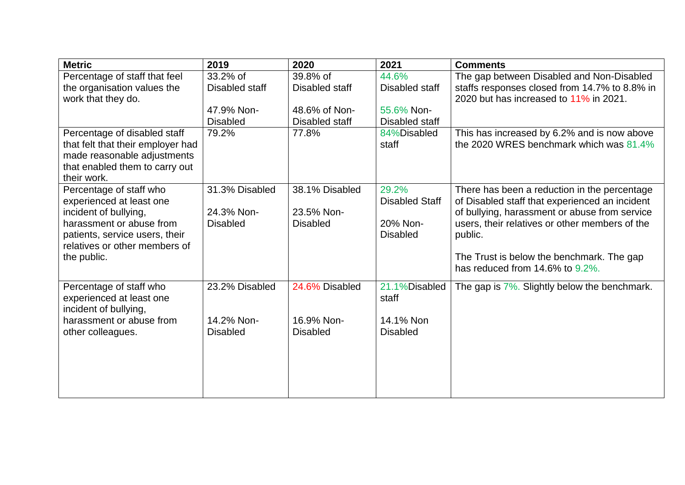| <b>Metric</b>                                     | 2019            | 2020            | 2021                  | <b>Comments</b>                                                                                 |
|---------------------------------------------------|-----------------|-----------------|-----------------------|-------------------------------------------------------------------------------------------------|
| Percentage of staff that feel                     | 33.2% of        | 39.8% of        | 44.6%                 | The gap between Disabled and Non-Disabled                                                       |
| the organisation values the                       | Disabled staff  | Disabled staff  | Disabled staff        | staffs responses closed from 14.7% to 8.8% in                                                   |
| work that they do.                                |                 |                 |                       | 2020 but has increased to 11% in 2021.                                                          |
|                                                   | 47.9% Non-      | 48.6% of Non-   | 55.6% Non-            |                                                                                                 |
|                                                   | <b>Disabled</b> | Disabled staff  | Disabled staff        |                                                                                                 |
| Percentage of disabled staff                      | 79.2%           | 77.8%           | 84%Disabled           | This has increased by 6.2% and is now above                                                     |
| that felt that their employer had                 |                 |                 | staff                 | the 2020 WRES benchmark which was $81.4\%$                                                      |
| made reasonable adjustments                       |                 |                 |                       |                                                                                                 |
| that enabled them to carry out                    |                 |                 |                       |                                                                                                 |
| their work.                                       |                 |                 |                       |                                                                                                 |
| Percentage of staff who                           | 31.3% Disabled  | 38.1% Disabled  | 29.2%                 | There has been a reduction in the percentage                                                    |
| experienced at least one                          | 24.3% Non-      | 23.5% Non-      | <b>Disabled Staff</b> | of Disabled staff that experienced an incident                                                  |
| incident of bullying,<br>harassment or abuse from | <b>Disabled</b> | <b>Disabled</b> | 20% Non-              | of bullying, harassment or abuse from service<br>users, their relatives or other members of the |
| patients, service users, their                    |                 |                 | <b>Disabled</b>       | public.                                                                                         |
| relatives or other members of                     |                 |                 |                       |                                                                                                 |
| the public.                                       |                 |                 |                       | The Trust is below the benchmark. The gap                                                       |
|                                                   |                 |                 |                       | has reduced from 14.6% to 9.2%.                                                                 |
|                                                   |                 |                 |                       |                                                                                                 |
| Percentage of staff who                           | 23.2% Disabled  | 24.6% Disabled  | 21.1%Disabled         | The gap is 7%. Slightly below the benchmark.                                                    |
| experienced at least one                          |                 |                 | staff                 |                                                                                                 |
| incident of bullying,                             |                 |                 |                       |                                                                                                 |
| harassment or abuse from                          | 14.2% Non-      | 16.9% Non-      | 14.1% Non             |                                                                                                 |
| other colleagues.                                 | <b>Disabled</b> | <b>Disabled</b> | <b>Disabled</b>       |                                                                                                 |
|                                                   |                 |                 |                       |                                                                                                 |
|                                                   |                 |                 |                       |                                                                                                 |
|                                                   |                 |                 |                       |                                                                                                 |
|                                                   |                 |                 |                       |                                                                                                 |
|                                                   |                 |                 |                       |                                                                                                 |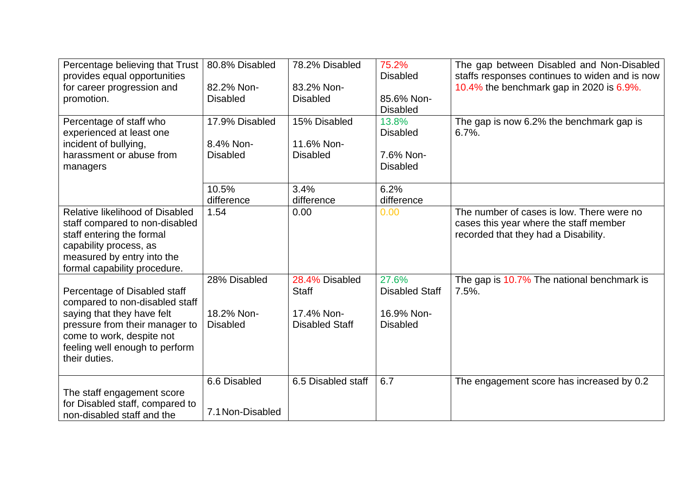| Percentage believing that Trust                                                                                                                                                        | 80.8% Disabled                   | 78.2% Disabled                      | 75.2%                          | The gap between Disabled and Non-Disabled                                                                                   |
|----------------------------------------------------------------------------------------------------------------------------------------------------------------------------------------|----------------------------------|-------------------------------------|--------------------------------|-----------------------------------------------------------------------------------------------------------------------------|
| provides equal opportunities<br>for career progression and                                                                                                                             | 82.2% Non-                       | 83.2% Non-                          | <b>Disabled</b>                | staffs responses continues to widen and is now<br>10.4% the benchmark gap in 2020 is 6.9%.                                  |
| promotion.                                                                                                                                                                             | <b>Disabled</b>                  | <b>Disabled</b>                     | 85.6% Non-<br><b>Disabled</b>  |                                                                                                                             |
| Percentage of staff who<br>experienced at least one                                                                                                                                    | 17.9% Disabled<br>8.4% Non-      | 15% Disabled<br>11.6% Non-          | 13.8%<br><b>Disabled</b>       | The gap is now 6.2% the benchmark gap is<br>$6.7\%$ .                                                                       |
| incident of bullying,<br>harassment or abuse from<br>managers                                                                                                                          | <b>Disabled</b>                  | <b>Disabled</b>                     | 7.6% Non-<br><b>Disabled</b>   |                                                                                                                             |
|                                                                                                                                                                                        | 10.5%<br>difference              | 3.4%<br>difference                  | 6.2%<br>difference             |                                                                                                                             |
| Relative likelihood of Disabled<br>staff compared to non-disabled<br>staff entering the formal<br>capability process, as<br>measured by entry into the<br>formal capability procedure. | 1.54                             | 0.00                                | 0.00                           | The number of cases is low. There were no<br>cases this year where the staff member<br>recorded that they had a Disability. |
| Percentage of Disabled staff<br>compared to non-disabled staff                                                                                                                         | 28% Disabled                     | 28.4% Disabled<br><b>Staff</b>      | 27.6%<br><b>Disabled Staff</b> | The gap is 10.7% The national benchmark is<br>$7.5%$ .                                                                      |
| saying that they have felt<br>pressure from their manager to<br>come to work, despite not<br>feeling well enough to perform<br>their duties.                                           | 18.2% Non-<br><b>Disabled</b>    | 17.4% Non-<br><b>Disabled Staff</b> | 16.9% Non-<br><b>Disabled</b>  |                                                                                                                             |
| The staff engagement score<br>for Disabled staff, compared to<br>non-disabled staff and the                                                                                            | 6.6 Disabled<br>7.1 Non-Disabled | 6.5 Disabled staff                  | 6.7                            | The engagement score has increased by 0.2                                                                                   |